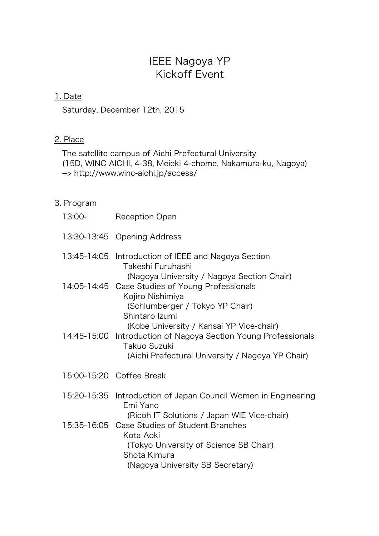# IEEE Nagoya YP Kickoff Event

# 1. Date

Saturday, December 12th, 2015

# 2. Place

The satellite campus of Aichi Prefectural University (15D, WINC AICHI, 4-38, Meieki 4-chome, Nakamura-ku, Nagoya) --> http://www.winc-aichi.jp/access/

## 3. Program

| 13:00- | <b>Reception Open</b>                                                                                                                                                                                  |
|--------|--------------------------------------------------------------------------------------------------------------------------------------------------------------------------------------------------------|
|        | 13:30-13:45 Opening Address                                                                                                                                                                            |
|        | 13:45-14:05 Introduction of IEEE and Nagoya Section<br>Takeshi Furuhashi<br>(Nagoya University / Nagoya Section Chair)                                                                                 |
|        | 14:05-14:45 Case Studies of Young Professionals<br>Kojiro Nishimiya<br>(Schlumberger / Tokyo YP Chair)<br>Shintaro Izumi                                                                               |
|        | (Kobe University / Kansai YP Vice-chair)<br>14:45-15:00 Introduction of Nagoya Section Young Professionals<br>Takuo Suzuki<br>(Aichi Prefectural University / Nagoya YP Chair)                         |
|        | 15:00-15:20 Coffee Break                                                                                                                                                                               |
|        | 15:20-15:35 Introduction of Japan Council Women in Engineering<br>Emi Yano                                                                                                                             |
|        | (Ricoh IT Solutions / Japan WIE Vice-chair)<br>15:35-16:05 Case Studies of Student Branches<br>Kota Aoki<br>(Tokyo University of Science SB Chair)<br>Shota Kimura<br>(Nagoya University SB Secretary) |